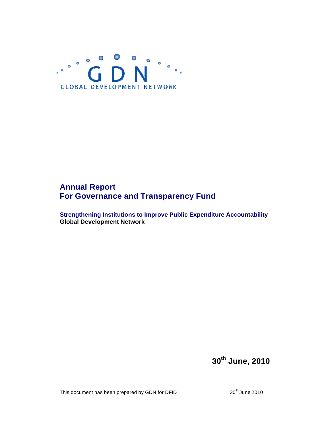

# **Annual Report For Governance and Transparency Fund**

**Strengthening Institutions to Improve Public Expenditure Accountability Global Development Network**

**30th June, 2010**

This document has been prepared by GDN for DFID  $30^{\text{th}}$  June 2010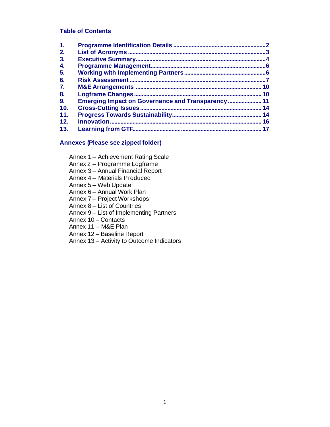## **Table of Contents**

| 1.  |                                                    | 2        |
|-----|----------------------------------------------------|----------|
| 2.  |                                                    |          |
| 3.  |                                                    | $\Delta$ |
| 4.  |                                                    |          |
| 5.  |                                                    |          |
| 6.  |                                                    |          |
| 7.  |                                                    | 10       |
| 8.  |                                                    |          |
| 9.  | Emerging Impact on Governance and Transparency  11 |          |
| 10. | <b>Cross-Cutting Issues.</b>                       | 14       |
| 11. |                                                    | 14       |
| 12. |                                                    | 16       |
| 13. |                                                    | 17       |

#### **Annexes (Please see zipped folder)**

Annex 1 – Achievement Rating Scale

- Annex 2 Programme Logframe
- Annex 3 Annual Financial Report
- Annex 4 Materials Produced
- Annex 5 Web Update
- Annex 6 Annual Work Plan
- Annex 7 Project Workshops
- Annex 8 List of Countries
- Annex 9 List of Implementing Partners
- Annex 10 Contacts
- Annex 11 M&E Plan
- Annex 12 Baseline Report
- Annex 13 Activity to Outcome Indicators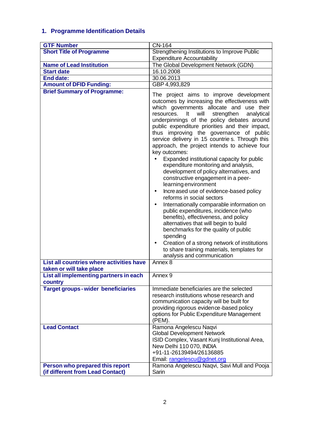# **1. Programme Identification Details**

| <b>GTF Number</b>                                      | CN-164                                                                                                                                                                                                                                                                                                                                                                                                                                                                                                                                                                                                                                                                                                                                                                                                                                                                                                                                                                                                                                                                                                                         |
|--------------------------------------------------------|--------------------------------------------------------------------------------------------------------------------------------------------------------------------------------------------------------------------------------------------------------------------------------------------------------------------------------------------------------------------------------------------------------------------------------------------------------------------------------------------------------------------------------------------------------------------------------------------------------------------------------------------------------------------------------------------------------------------------------------------------------------------------------------------------------------------------------------------------------------------------------------------------------------------------------------------------------------------------------------------------------------------------------------------------------------------------------------------------------------------------------|
| <b>Short Title of Programme</b>                        | Strengthening Institutions to Improve Public                                                                                                                                                                                                                                                                                                                                                                                                                                                                                                                                                                                                                                                                                                                                                                                                                                                                                                                                                                                                                                                                                   |
|                                                        | <b>Expenditure Accountability</b>                                                                                                                                                                                                                                                                                                                                                                                                                                                                                                                                                                                                                                                                                                                                                                                                                                                                                                                                                                                                                                                                                              |
| <b>Name of Lead Institution</b>                        | The Global Development Network (GDN)                                                                                                                                                                                                                                                                                                                                                                                                                                                                                                                                                                                                                                                                                                                                                                                                                                                                                                                                                                                                                                                                                           |
| <b>Start date</b>                                      | 16.10.2008                                                                                                                                                                                                                                                                                                                                                                                                                                                                                                                                                                                                                                                                                                                                                                                                                                                                                                                                                                                                                                                                                                                     |
| <b>End date:</b>                                       | 30.06.2013                                                                                                                                                                                                                                                                                                                                                                                                                                                                                                                                                                                                                                                                                                                                                                                                                                                                                                                                                                                                                                                                                                                     |
| <b>Amount of DFID Funding:</b>                         | GBP 4,993,829                                                                                                                                                                                                                                                                                                                                                                                                                                                                                                                                                                                                                                                                                                                                                                                                                                                                                                                                                                                                                                                                                                                  |
| <b>Brief Summary of Programme:</b>                     | The project aims to improve development<br>outcomes by increasing the effectiveness with<br>which governments allocate and use their<br>will<br>strengthen<br>It<br>analytical<br>resources.<br>underpinnings of the policy debates around<br>public expenditure priorities and their impact,<br>thus improving the governance of public<br>service delivery in 15 countries. Through this<br>approach, the project intends to achieve four<br>key outcomes:<br>Expanded institutional capacity for public<br>expenditure monitoring and analysis,<br>development of policy alternatives, and<br>constructive engagement in a peer-<br>learning environment<br>Increased use of evidence-based policy<br>$\bullet$<br>reforms in social sectors<br>Internationally comparable information on<br>$\bullet$<br>public expenditures, incidence (who<br>benefits), effectiveness, and policy<br>alternatives that will begin to build<br>benchmarks for the quality of public<br>spending<br>Creation of a strong network of institutions<br>$\bullet$<br>to share training materials, templates for<br>analysis and communication |
| List all countries where activities have               | Annex 8                                                                                                                                                                                                                                                                                                                                                                                                                                                                                                                                                                                                                                                                                                                                                                                                                                                                                                                                                                                                                                                                                                                        |
| taken or will take place                               |                                                                                                                                                                                                                                                                                                                                                                                                                                                                                                                                                                                                                                                                                                                                                                                                                                                                                                                                                                                                                                                                                                                                |
| List all implementing partners in each                 | Annex <sub>9</sub>                                                                                                                                                                                                                                                                                                                                                                                                                                                                                                                                                                                                                                                                                                                                                                                                                                                                                                                                                                                                                                                                                                             |
| country                                                |                                                                                                                                                                                                                                                                                                                                                                                                                                                                                                                                                                                                                                                                                                                                                                                                                                                                                                                                                                                                                                                                                                                                |
| <b>Target groups-wider beneficiaries</b>               | Immediate beneficiaries are the selected<br>research institutions whose research and<br>communication capacity will be built for<br>providing rigorous evidence-based policy<br>options for Public Expenditure Management<br>(PEM).                                                                                                                                                                                                                                                                                                                                                                                                                                                                                                                                                                                                                                                                                                                                                                                                                                                                                            |
| <b>Lead Contact</b><br>Person who prepared this report | Ramona Angelescu Naqvi<br><b>Global Development Network</b><br>ISID Complex, Vasant Kunj Institutional Area,<br>New Delhi 110 070, INDIA<br>+91-11-26139494/26136885<br>Email: rangelescu@gdnet.org<br>Ramona Angelescu Naqvi, Savi Mull and Pooja                                                                                                                                                                                                                                                                                                                                                                                                                                                                                                                                                                                                                                                                                                                                                                                                                                                                             |
| (if different from Lead Contact)                       | Sarin                                                                                                                                                                                                                                                                                                                                                                                                                                                                                                                                                                                                                                                                                                                                                                                                                                                                                                                                                                                                                                                                                                                          |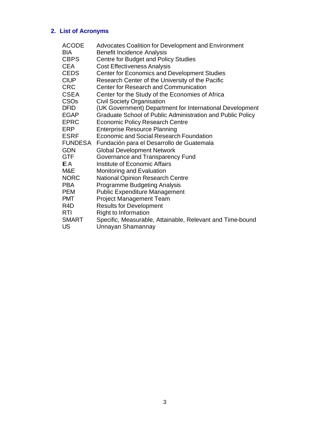# **2. List of Acronyms**

| ACODE       | <b>Advocates Coalition for Development and Environment</b>                     |
|-------------|--------------------------------------------------------------------------------|
| BIA         | Benefit Incidence Analysis                                                     |
| <b>CBPS</b> | Centre for Budget and Policy Studies                                           |
| CEA         | <b>Cost Effectiveness Analysis</b>                                             |
| CEDS        | <b>Center for Economics and Development Studies</b>                            |
| CIUP        | Research Center of the University of the Pacific                               |
| CRC         | <b>Center for Research and Communication</b>                                   |
| CSEA        | Center for the Study of the Economies of Africa                                |
| CSOs        | <b>Civil Society Organisation</b>                                              |
| DFID        | (UK Government) Department for International Development                       |
| EGAP        | Graduate School of Public Administration and Public Policy                     |
| EPRC        | <b>Economic Policy Research Centre</b>                                         |
| ERP         | <b>Enterprise Resource Planning</b>                                            |
| ESRF        | Economic and Social Research Foundation                                        |
| FUNDESA     | Fundación para el Desarrollo de Guatemala                                      |
| <b>GDN</b>  | <b>Global Development Network</b>                                              |
| GTF         | Governance and Transparency Fund                                               |
| EА          | <b>Institute of Economic Affairs</b>                                           |
| M&E         | Monitoring and Evaluation                                                      |
| NORC        | <b>National Opinion Research Centre</b>                                        |
| PBA         | <b>Programme Budgeting Analysis</b>                                            |
| PEM         | <b>Public Expenditure Management</b>                                           |
| <b>PMT</b>  | <b>Project Management Team</b>                                                 |
| R4D         | <b>Results for Development</b>                                                 |
| RTI         | Right to Information                                                           |
| SMART<br>US | Specific, Measurable, Attainable, Relevant and Time-bound<br>Unnayan Shamannay |
|             |                                                                                |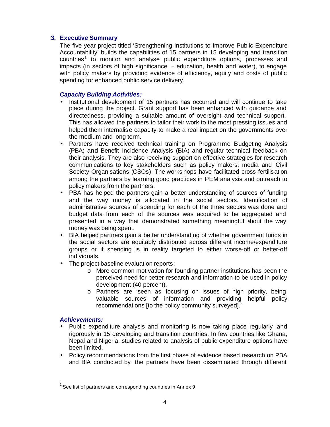## **3. Executive Summary**

The five year project titled 'Strengthening Institutions to Improve Public Expenditure Accountability' builds the capabilities of 15 partners in 15 developing and transition countries<sup>1</sup> to monitor and analyse public expenditure options, processes and impacts (in sectors of high significance – education, health and water), to engage with policy makers by providing evidence of efficiency, equity and costs of public spending for enhanced public service delivery.

# *Capacity Building Activities:*

- Institutional development of 15 partners has occurred and will continue to take place during the project. Grant support has been enhanced with guidance and directedness, providing a suitable amount of oversight and technical support. This has allowed the partners to tailor their work to the most pressing issues and helped them internalise capacity to make a real impact on the governments over the medium and long term.
- Partners have received technical training on Programme Budgeting Analysis (PBA) and Benefit Incidence Analysis (BIA) and regular technical feedback on their analysis. They are also receiving support on effective strategies for research communications to key stakeholders such as policy makers, media and Civil Society Organisations (CSOs). The works hops have facilitated cross-fertilisation among the partners by learning good practices in PEM analysis and outreach to policy makers from the partners.
- PBA has helped the partners gain a better understanding of sources of funding and the way money is allocated in the social sectors. Identification of administrative sources of spending for each of the three sectors was done and budget data from each of the sources was acquired to be aggregated and presented in a way that demonstrated something meaningful about the way money was being spent.
- BIA helped partners gain a better understanding of whether government funds in the social sectors are equitably distributed across different income/expenditure groups or if spending is in reality targeted to either worse-off or better-off individuals.
- The project baseline evaluation reports:
	- o More common motivation for founding partner institutions has been the perceived need for better research and information to be used in policy development (40 percent).
	- o Partners are 'seen as focusing on issues of high priority, being valuable sources of information and providing helpful policy recommendations [to the policy community surveyed].'

## *Achievements:*

 $\overline{\phantom{a}}$ 

- Public expenditure analysis and monitoring is now taking place regularly and rigorously in 15 developing and transition countries. In few countries like Ghana, Nepal and Nigeria, studies related to analysis of public expenditure options have been limited.
- Policy recommendations from the first phase of evidence based research on PBA and BIA conducted by the partners have been disseminated through different

<sup>1</sup> See list of partners and corresponding countries in Annex 9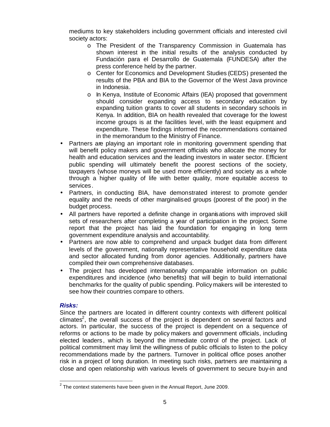mediums to key stakeholders including government officials and interested civil society actors:

- o The President of the Transparency Commission in Guatemala has shown interest in the initial results of the analysis conducted by Fundación para el Desarrollo de Guatemala (FUNDESA) after the press conference held by the partner.
- o Center for Economics and Development Studies (CEDS) presented the results of the PBA and BIA to the Governor of the West Java province in Indonesia.
- o In Kenya, Institute of Economic Affairs (IEA) proposed that government should consider expanding access to secondary education by expanding tuition grants to cover all students in secondary schools in Kenya. In addition, BIA on health revealed that coverage for the lowest income groups is at the facilities level, with the least equipment and expenditure. These findings informed the recommendations contained in the memorandum to the Ministry of Finance.
- Partners are playing an important role in monitoring government spending that will benefit policy makers and government officials who allocate the money for health and education services and the leading investors in water sector. Efficient public spending will ultimately benefit the poorest sections of the society, taxpayers (whose moneys will be used more efficiently) and society as a whole through a higher quality of life with better quality, more equitable access to services.
- Partners, in conducting BIA, have demonstrated interest to promote gender equality and the needs of other marginalised groups (poorest of the poor) in the budget process.
- All partners have reported a definite change in organisations with improved skill sets of researchers after completing a year of participation in the project. Some report that the project has laid the foundation for engaging in long term government expenditure analysis and accountability.
- Partners are now able to comprehend and unpack budget data from different levels of the government, nationally representative household expenditure data and sector allocated funding from donor agencies. Additionally, partners have compiled their own comprehensive databases.
- The project has developed internationally comparable information on public expenditures and incidence (who benefits) that will begin to build international benchmarks for the quality of public spending. Policymakers will be interested to see how their countries compare to others.

## *Risks:*

Since the partners are located in different country contexts with different political climates<sup>2</sup>, the overall success of the project is dependent on several factors and actors. In particular, the success of the project is dependent on a sequence of reforms or actions to be made by policy makers and government officials, including elected leaders , which is beyond the immediate control of the project. Lack of political commitment may limit the willingness of public officials to listen to the policy recommendations made by the partners. Turnover in political office poses another risk in a project of long duration. In meeting such risks, partners are maintaining a close and open relationship with various levels of government to secure buy-in and

 2 The context statements have been given in the Annual Report, June 2009.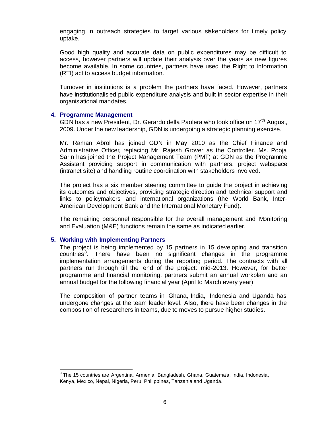engaging in outreach strategies to target various stakeholders for timely policy uptake.

Good high quality and accurate data on public expenditures may be difficult to access, however partners will update their analysis over the years as new figures become available. In some countries, partners have used the Right to Information (RTI) act to access budget information.

Turnover in institutions is a problem the partners have faced. However, partners have institutionalis ed public expenditure analysis and built in sector expertise in their organisational mandates.

#### **4. Programme Management**

GDN has a new President, Dr. Gerardo della Paolera who took office on 17<sup>th</sup> August, 2009. Under the new leadership, GDN is undergoing a strategic planning exercise.

Mr. Raman Abrol has joined GDN in May 2010 as the Chief Finance and Administrative Officer, replacing Mr. Rajesh Grover as the Controller. Ms. Pooja Sarin has joined the Project Management Team (PMT) at GDN as the Programme Assistant providing support in communication with partners, project webspace (intranet site) and handling routine coordination with stakeholders involved.

The project has a six member steering committee to guide the project in achieving its outcomes and objectives, providing strategic direction and technical support and links to policymakers and international organizations (the World Bank, Inter-American Development Bank and the International Monetary Fund).

The remaining personnel responsible for the overall management and Monitoring and Evaluation (M&E) functions remain the same as indicated earlier.

#### **5. Working with Implementing Partners**

 $\overline{\phantom{a}}$ 

The project is being implemented by 15 partners in 15 developing and transition countries<sup>3</sup>. There have been no significant changes in the programme implementation arrangements during the reporting period. The contracts with all partners run through till the end of the project: mid-2013. However, for better programme and financial monitoring, partners submit an annual workplan and an annual budget for the following financial year (April to March every year).

The composition of partner teams in Ghana, India, Indonesia and Uganda has undergone changes at the team leader level. Also, there have been changes in the composition of researchers in teams, due to moves to pursue higher studies.

<sup>&</sup>lt;sup>3</sup> The 15 countries are Argentina, Armenia, Bangladesh, Ghana, Guatemala, India, Indonesia, Kenya, Mexico, Nepal, Nigeria, Peru, Philippines, Tanzania and Uganda.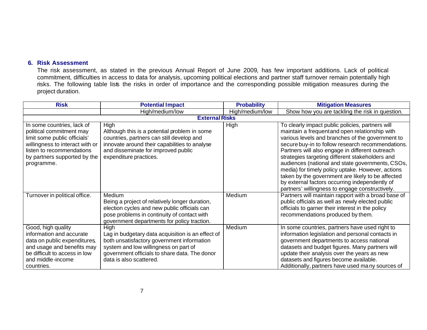## **6. Risk Assessment**

The risk assessment, as stated in the previous Annual Report of June 2009, has few important additions. Lack of political commitment, difficulties in access to data for analysis, upcoming political elections and partner staff turnover remain potentially high risks. The following table lists the risks in order of importance and the corresponding possible mitigation measures during the project duration.

| <b>Risk</b>                     | <b>Potential Impact</b>                           | <b>Probability</b> | <b>Mitigation Measures</b>                                                                             |
|---------------------------------|---------------------------------------------------|--------------------|--------------------------------------------------------------------------------------------------------|
|                                 | High/medium/low                                   | High/medium/low    | Show how you are tackling the risk in question.                                                        |
|                                 | <b>External Risks</b>                             |                    |                                                                                                        |
| In some countries, lack of      | High                                              | High               | To clearly impact public policies, partners will                                                       |
| political commitment may        | Although this is a potential problem in some      |                    | maintain a frequentand open relationship with                                                          |
| limit some public officials'    | countries, partners can still develop and         |                    | various levels and branches of the government to                                                       |
| willingness to interact with or | innovate around their capabilities to analyse     |                    | secure buy-in to follow research recommendations.                                                      |
| listen to recommendations       | and disseminate for improved public               |                    | Partners will also engage in different outreach                                                        |
| by partners supported by the    | expenditure practices.                            |                    | strategies targeting different stakeholders and                                                        |
| programme.                      |                                                   |                    | audiences (national and state governments, CSOs,                                                       |
|                                 |                                                   |                    | media) for timely policy uptake. However, actions<br>taken by the government are likely to be affected |
|                                 |                                                   |                    | by external factors occurring independently of                                                         |
|                                 |                                                   |                    | partners' willingness to engage constructively.                                                        |
| Turnover in political office.   | Medium                                            | Medium             | Partners will maintain rapport with a broad base of                                                    |
|                                 | Being a project of relatively longer duration,    |                    | public officials as well as newly elected public                                                       |
|                                 | election cycles and new public officials can      |                    | officials to garner their interest in the policy                                                       |
|                                 | pose problems in continuity of contact with       |                    | recommendations produced by them.                                                                      |
|                                 | government departments for policy traction.       |                    |                                                                                                        |
| Good, high quality              | High                                              | Medium             | In some countries, partners have used right to                                                         |
| information and accurate        | Lag in budgetary data acquisition is an effect of |                    | information legislation and personal contacts in                                                       |
| data on public expenditures,    | both unsatisfactory government information        |                    | government departments to access national                                                              |
| and usage and benefits may      | system and low willingness on part of             |                    | datasets and budget figures. Many partners will                                                        |
| be difficult to access in low   | government officials to share data. The donor     |                    | update their analysis over the years as new                                                            |
| and middle-income               | data is also scattered.                           |                    | datasets and figures become available.                                                                 |
| countries.                      |                                                   |                    | Additionally, partners have used many sources of                                                       |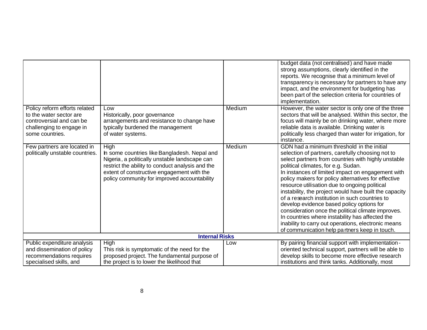|                                                                                                                                     |                                                                                                                                                                                                                                                         |        | budget data (not centralised) and have made<br>strong assumptions, clearly identified in the<br>reports. We recognise that a minimum level of<br>transparency is necessary for partners to have any<br>impact, and the environment for budgeting has<br>been part of the selection criteria for countries of<br>implementation.                                                                                                                                                                                                                                                                                                                                                                                                     |  |
|-------------------------------------------------------------------------------------------------------------------------------------|---------------------------------------------------------------------------------------------------------------------------------------------------------------------------------------------------------------------------------------------------------|--------|-------------------------------------------------------------------------------------------------------------------------------------------------------------------------------------------------------------------------------------------------------------------------------------------------------------------------------------------------------------------------------------------------------------------------------------------------------------------------------------------------------------------------------------------------------------------------------------------------------------------------------------------------------------------------------------------------------------------------------------|--|
| Policy reform efforts related<br>to the water sector are<br>controversial and can be<br>challenging to engage in<br>some countries. | Low<br>Historically, poor governance<br>arrangements and resistance to change have<br>typically burdened the management<br>of water systems.                                                                                                            | Medium | However, the water sector is only one of the three<br>sectors that will be analysed. Within this sector, the<br>focus will mainly be on drinking water, where more<br>reliable data is available. Drinking water is<br>politically less charged than water for irrigation, for<br>instance.                                                                                                                                                                                                                                                                                                                                                                                                                                         |  |
| Few partners are located in<br>politically unstable countries.                                                                      | High<br>In some countries like Bangladesh. Nepal and<br>Nigeria, a politically unstable landscape can<br>restrict the ability to conduct analysis and the<br>extent of constructive engagement with the<br>policy community for improved accountability | Medium | GDN had a minimum threshold in the initial<br>selection of partners, carefully choosing not to<br>select partners from countries with highly unstable<br>political climates, for e.g. Sudan.<br>In instances of limited impact on engagement with<br>policy makers for policy alternatives for effective<br>resource utilisation due to ongoing political<br>instability, the project would have built the capacity<br>of a research institution in such countries to<br>develop evidence based policy options for<br>consideration once the political climate improves.<br>In countries where instability has affected the<br>inability to carry out operations, electronic means<br>of communication help partners keep in touch. |  |
|                                                                                                                                     | <b>Internal Risks</b>                                                                                                                                                                                                                                   |        |                                                                                                                                                                                                                                                                                                                                                                                                                                                                                                                                                                                                                                                                                                                                     |  |
| Public expenditure analysis                                                                                                         | High                                                                                                                                                                                                                                                    | Low    | By pairing financial support with implementation -                                                                                                                                                                                                                                                                                                                                                                                                                                                                                                                                                                                                                                                                                  |  |
| and dissemination of policy                                                                                                         | This risk is symptomatic of the need for the                                                                                                                                                                                                            |        | oriented technical support, partners will be able to                                                                                                                                                                                                                                                                                                                                                                                                                                                                                                                                                                                                                                                                                |  |
| recommendations requires<br>specialised skills, and                                                                                 | proposed project. The fundamental purpose of<br>the project is to lower the likelihood that                                                                                                                                                             |        | develop skills to become more effective research<br>institutions and think tanks. Additionally, most                                                                                                                                                                                                                                                                                                                                                                                                                                                                                                                                                                                                                                |  |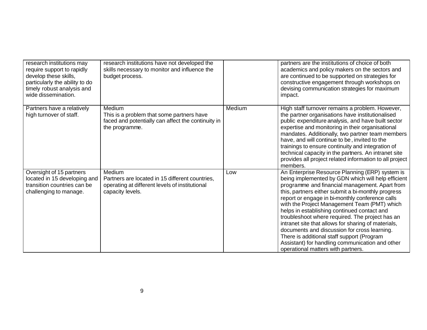| research institutions may<br>require support to rapidly<br>develop these skills,<br>particularly the ability to do<br>timely robust analysis and<br>wide dissemination. | research institutions have not developed the<br>skills necessary to monitor and influence the<br>budget process.                |        | partners are the institutions of choice of both<br>academics and policy makers on the sectors and<br>are continued to be supported on strategies for<br>constructive engagement through workshops on<br>devising communication strategies for maximum<br>impact.                                                                                                                                                                                                                                                                                                                                                                                                 |
|-------------------------------------------------------------------------------------------------------------------------------------------------------------------------|---------------------------------------------------------------------------------------------------------------------------------|--------|------------------------------------------------------------------------------------------------------------------------------------------------------------------------------------------------------------------------------------------------------------------------------------------------------------------------------------------------------------------------------------------------------------------------------------------------------------------------------------------------------------------------------------------------------------------------------------------------------------------------------------------------------------------|
| Partners have a relatively<br>high turnover of staff.                                                                                                                   | Medium<br>This is a problem that some partners have<br>faced and potentially can affect the continuity in<br>the programme.     | Medium | High staff turnover remains a problem. However,<br>the partner organisations have institutionalised<br>public expenditure analysis, and have built sector<br>expertise and monitoring in their organisational<br>mandates. Additionally, two partner team members<br>have, and will continue to be, invited to the<br>trainings to ensure continuity and integration of<br>technical capacity in the partners. An intranet site<br>provides all project related information to all project<br>members.                                                                                                                                                           |
| Oversight of 15 partners<br>located in 15 developing and<br>transition countries can be<br>challenging to manage.                                                       | Medium<br>Partners are located in 15 different countries,<br>operating at different levels of institutional<br>capacity levels. | Low    | An Enterprise Resource Planning (ERP) system is<br>being implemented by GDN which will help efficient<br>programme and financial management. Apart from<br>this, partners either submit a bi-monthly progress<br>report or engage in bi-monthly conference calls<br>with the Project Management Team (PMT) which<br>helps in establishing continued contact and<br>troubleshoot where required. The project has an<br>intranet site that allows for sharing of materials,<br>documents and discussion for cross learning.<br>There is additional staff support (Program<br>Assistant) for handling communication and other<br>operational matters with partners. |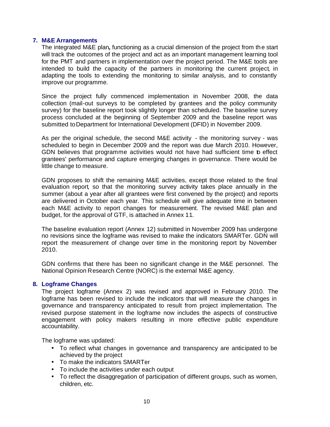#### **7. M&E Arrangements**

The integrated M&E plan**,** functioning as a crucial dimension of the project from the start will track the outcomes of the project and act as an important management learning tool for the PMT and partners in implementation over the project period. The M&E tools are intended to build the capacity of the partners in monitoring the current project, in adapting the tools to extending the monitoring to similar analysis, and to constantly improve our programme.

Since the project fully commenced implementation in November 2008, the data collection (mail-out surveys to be completed by grantees and the policy community survey) for the baseline report took slightly longer than scheduled. The baseline survey process concluded at the beginning of September 2009 and the baseline report was submitted to Department for International Development (DFID) in November 2009.

As per the original schedule, the second M&E activity - the monitoring survey - was scheduled to begin in December 2009 and the report was due March 2010. However, GDN believes that programme activities would not have had sufficient time b effect grantees' performance and capture emerging changes in governance. There would be little change to measure.

GDN proposes to shift the remaining M&E activities, except those related to the final evaluation report, so that the monitoring survey activity takes place annually in the summer (about a year after all grantees were first convened by the project) and reports are delivered in October each year. This schedule will give adequate time in between each M&E activity to report changes for measurement. The revised M&E plan and budget, for the approval of GTF, is attached in Annex 11.

The baseline evaluation report (Annex 12) submitted in November 2009 has undergone no revisions since the logframe was revised to make the indicators SMARTer. GDN will report the measurement of change over time in the monitoring report by November 2010.

GDN confirms that there has been no significant change in the M&E personnel. The National Opinion Research Centre (NORC) is the external M&E agency.

#### **8. Logframe Changes**

The project logframe (Annex 2) was revised and approved in February 2010. The logframe has been revised to include the indicators that will measure the changes in governance and transparency anticipated to result from project implementation. The revised purpose statement in the logframe now includes the aspects of constructive engagement with policy makers resulting in more effective public expenditure accountability.

The logframe was updated:

- To reflect what changes in governance and transparency are anticipated to be achieved by the project
- To make the indicators SMARTer
- To include the activities under each output
- To reflect the disaggregation of participation of different groups, such as women, children, etc.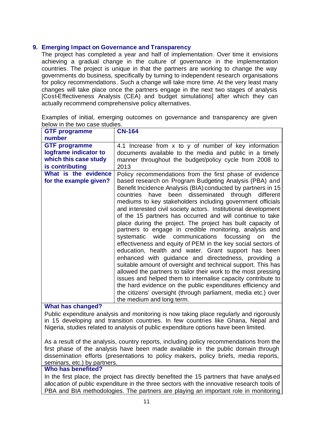## **9. Emerging Impact on Governance and Transparency**

The project has completed a year and half of implementation. Over time it envisions achieving a gradual change in the culture of governance in the implementation countries. The project is unique in that the partners are working to change the way governments do business, specifically by turning to independent research organisations for policy recommendations . Such a change will take more time. At the very least many changes will take place once the partners engage in the next two stages of analysis [Cost-Effectiveness Analysis (CEA) and budget simulations] after which they can actually recommend comprehensive policy alternatives.

Examples of initial, emerging outcomes on governance and transparency are given below in the two case studies.

| <b>GTF programme</b>                                                                      | <b>CN-164</b>                                                                                                                                                                                                                                                                                                                                                                                                                                                                                                                                                                                                                                                                                                                                                                                                                                                                                                                                                                                                                                                                                                                                                   |
|-------------------------------------------------------------------------------------------|-----------------------------------------------------------------------------------------------------------------------------------------------------------------------------------------------------------------------------------------------------------------------------------------------------------------------------------------------------------------------------------------------------------------------------------------------------------------------------------------------------------------------------------------------------------------------------------------------------------------------------------------------------------------------------------------------------------------------------------------------------------------------------------------------------------------------------------------------------------------------------------------------------------------------------------------------------------------------------------------------------------------------------------------------------------------------------------------------------------------------------------------------------------------|
| number                                                                                    |                                                                                                                                                                                                                                                                                                                                                                                                                                                                                                                                                                                                                                                                                                                                                                                                                                                                                                                                                                                                                                                                                                                                                                 |
| <b>GTF programme</b><br>logframe indicator to<br>which this case study<br>is contributing | 4.1 Increase from x to y of number of key information<br>documents available to the media and public in a timely<br>manner throughout the budget/policy cycle from 2008 to<br>2013                                                                                                                                                                                                                                                                                                                                                                                                                                                                                                                                                                                                                                                                                                                                                                                                                                                                                                                                                                              |
| What is the evidence<br>for the example given?                                            | Policy recommendations from the first phase of evidence<br>based research on Program Budgeting Analysis (PBA) and<br>Benefit Incidence Analysis (BIA) conducted by partners in 15<br>countries have been disseminated through different<br>mediums to key stakeholders including government officials<br>and interested civil society actors. Institutional development<br>of the 15 partners has occurred and will continue to take<br>place during the project. The project has built capacity of<br>partners to engage in credible monitoring, analysis and<br>systematic wide communications focussing on the<br>effectiveness and equity of PEM in the key social sectors of<br>education, health and water. Grant support has been<br>enhanced with guidance and directedness, providing a<br>suitable amount of oversight and technical support. This has<br>allowed the partners to tailor their work to the most pressing<br>issues and helped them to internalise capacity contribute to<br>the hard evidence on the public expenditures efficiency and<br>the citizens' oversight (through parliament, media etc.) over<br>the medium and long term. |

## **What has changed?**

Public expenditure analysis and monitoring is now taking place regularly and rigorously in 15 developing and transition countries. In few countries like Ghana, Nepal and Nigeria, studies related to analysis of public expenditure options have been limited.

As a result of the analysis, country reports, including policy recommendations from the first phase of the analysis have been made available in the public domain through dissemination efforts (presentations to policy makers, policy briefs, media reports, seminars, etc.) by partners.

#### **Who has benefited?**

In the first place, the project has directly benefited the 15 partners that have analysed allocation of public expenditure in the three sectors with the innovative research tools of PBA and BIA methodologies. The partners are playing an important role in monitoring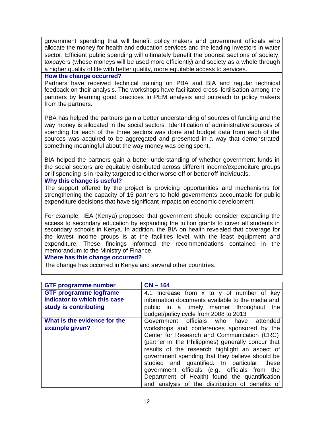government spending that will benefit policy makers and government officials who allocate the money for health and education services and the leading investors in water sector. Efficient public spending will ultimately benefit the poorest sections of society, taxpayers (whose moneys will be used more efficiently) and society as a whole through a higher quality of life with better quality, more equitable access to services.

**How the change occurred?**

Partners have received technical training on PBA and BIA and regular technical feedback on their analysis. The workshops have facilitated cross -fertilisation among the partners by learning good practices in PEM analysis and outreach to policy makers from the partners.

PBA has helped the partners gain a better understanding of sources of funding and the way money is allocated in the social sectors. Identification of administrative sources of spending for each of the three sectors was done and budget data from each of the sources was acquired to be aggregated and presented in a way that demonstrated something meaningful about the way money was being spent.

BIA helped the partners gain a better understanding of whether government funds in the social sectors are equitably distributed across different income/expenditure groups or if spending is in reality targeted to either worse-off or better-off individuals.

**Why this change is useful?**

The support offered by the project is providing opportunities and mechanisms for strengthening the capacity of 15 partners to hold governments accountable for public expenditure decisions that have significant impacts on economic development.

For example, IEA (Kenya) proposed that government should consider expanding the access to secondary education by expanding the tuition grants to cover all students in secondary schools in Kenya. In addition, the BIA on health revealed that coverage for the lowest income groups is at the facilities level, with the least equipment and expenditure. These findings informed the recommendations contained in the memorandum to the Ministry of Finance.

## **Where has this change occurred?**

The change has occurred in Kenya and several other countries.

| <b>GTF programme number</b>   | $CN - 164$                                         |
|-------------------------------|----------------------------------------------------|
| <b>GTF programme logframe</b> | 4.1 Increase from x to y of number of key          |
| indicator to which this case  | information documents available to the media and   |
| study is contributing         | public in a timely manner throughout<br>the        |
|                               | budget/policy cycle from 2008 to 2013              |
| What is the evidence for the  | Government officials who have attended             |
| example given?                | workshops and conferences sponsored by the         |
|                               | Center for Research and Communication (CRC)        |
|                               | (partner in the Philippines) generally concur that |
|                               | results of the research highlight an aspect of     |
|                               | government spending that they believe should be    |
|                               | studied and quantified. In particular, these       |
|                               | government officials (e.g., officials from the     |
|                               | Department of Health) found the quantification     |
|                               | and analysis of the distribution of benefits of    |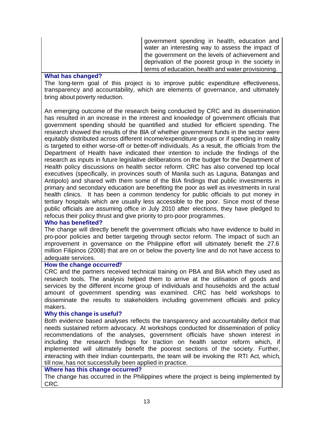| government spending in health, education and<br>water an interesting way to assess the impact of |
|--------------------------------------------------------------------------------------------------|
| the government on the levels of achievement and                                                  |
| deprivation of the poorest group in the society in                                               |
| terms of education, health and water provisioning.                                               |

#### **What has changed?**

The long-term goal of this project is to improve public expenditure effectiveness, transparency and accountability, which are elements of governance, and ultimately bring about poverty reduction.

An emerging outcome of the research being conducted by CRC and its dissemination has resulted in an increase in the interest and knowledge of government officials that government spending should be quantified and studied for efficient spending. The research showed the results of the BIA of whether government funds in the sector were equitably distributed across different income/expenditure groups or if spending in reality is targeted to either worse-off or better-off individuals. As a result, the officials from the Department of Health have indicated their intention to include the findings of the research as inputs in future legislative deliberations on the budget for the Department of Health policy discussions on health sector reform. CRC has also convened top local executives (specifically, in provinces south of Manila such as Laguna, Batangas and Antipolo) and shared with them some of the BIA findings that public investments in primary and secondary education are benefiting the poor as well as investments in rural health clinics. It has been a common tendency for public officials to put money in tertiary hospitals which are usually less accessible to the poor. Since most of these public officials are assuming office in July 2010 after elections, they have pledged to refocus their policy thrust and give priority to pro-poor programmes.

## **Who has benefited?**

The change will directly benefit the government officials who have evidence to build in pro-poor policies and better targeting through sector reform. The impact of such an improvement in governance on the Philippine effort will ultimately benefit the 27.6 million Filipinos (2008) that are on or below the poverty line and do not have access to adequate services.

#### **How the change occurred?**

CRC and the partners received technical training on PBA and BIA which they used as research tools. The analysis helped them to arrive at the utilisation of goods and services by the different income group of individuals and households and the actual amount of government spending was examined. CRC has held workshops to disseminate the results to stakeholders including government officials and policy makers.

## **Why this change is useful?**

Both evidence based analyses reflects the transparency and accountability deficit that needs sustained reform advocacy. At workshops conducted for dissemination of policy recommendations of the analyses, government officials have shown interest in including the research findings for traction on health sector reform which, if implemented will ultimately benefit the poorest sections of the society. Further, interacting with their Indian counterparts, the team will be invoking the RTI Act, which, till now, has not successfully been applied in practice.

#### **Where has this change occurred?**

The change has occurred in the Philippines where the project is being implemented by CRC.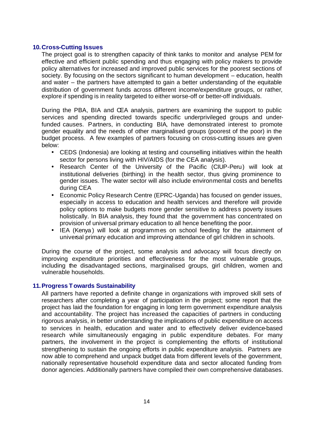#### **10.Cross-Cutting Issues**

The project goal is to strengthen capacity of think tanks to monitor and analyse PEM for effective and efficient public spending and thus engaging with policy makers to provide policy alternatives for increased and improved public services for the poorest sections of society. By focusing on the sectors significant to human development – education, health and water – the partners have attempted to gain a better understanding of the equitable distribution of government funds across different income/expenditure groups, or rather, explore if spending is in reality targeted to either worse-off or better-off individuals.

During the PBA, BIA and CEA analysis, partners are examining the support to public services and spending directed towards specific underprivileged groups and underfunded causes. Partners, in conducting BIA, have demonstrated interest to promote gender equality and the needs of other marginalised groups (poorest of the poor) in the budget process. A few examples of partners focusing on cross-cutting issues are given below:

- CEDS (Indonesia) are looking at testing and counselling initiatives within the health sector for persons living with HIV/AIDS (for the CEA analysis).
- Research Center of the University of the Pacific (CIUP-Peru) will look at institutional deliveries (birthing) in the health sector, thus giving prominence to gender issues. The water sector will also include environmental costs and benefits during CEA
- Economic Policy Research Centre (EPRC-Uganda) has focused on gender issues, especially in access to education and health services and therefore will provide policy options to make budgets more gender sensitive to addres s poverty issues holistically. In BIA analysis, they found that the government has concentrated on provision of universal primary education to all hence benefiting the poor.
- IEA (Kenya) will look at programmes on school feeding for the attainment of universal primary education and improving attendance of girl children in schools.

During the course of the project, some analysis and advocacy will focus directly on improving expenditure priorities and effectiveness for the most vulnerable groups, including the disadvantaged sections, marginalised groups, girl children, women and vulnerable households.

## **11.Progress Towards Sustainability**

All partners have reported a definite change in organizations with improved skill sets of researchers after completing a year of participation in the project; some report that the project has laid the foundation for engaging in long term government expenditure analysis and accountability. The project has increased the capacities of partners in conducting rigorous analysis, in better understanding the implications of public expenditure on access to services in health, education and water and to effectively deliver evidence-based research while simultaneously engaging in public expenditure debates. For many partners, the involvement in the project is complementing the efforts of institutional strengthening to sustain the ongoing efforts in public expenditure analysis. Partners are now able to comprehend and unpack budget data from different levels of the government, nationally representative household expenditure data and sector allocated funding from donor agencies. Additionally partners have compiled their own comprehensive databases.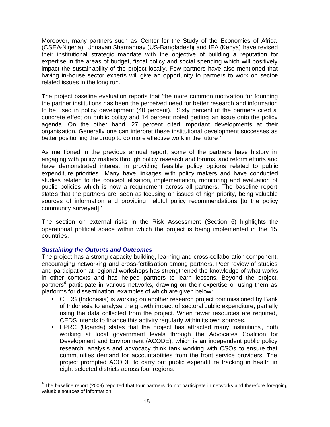Moreover, many partners such as Center for the Study of the Economies of Africa (CSEA-Nigeria), Unnayan Shamannay (US-Bangladesh) and IEA (Kenya) have revised their institutional strategic mandate with the objective of building a reputation for expertise in the areas of budget, fiscal policy and social spending which will positively impact the sustainability of the project locally. Few partners have also mentioned that having in-house sector experts will give an opportunity to partners to work on sectorrelated issues in the long run.

The project baseline evaluation reports that 'the more common motivation for founding the partner institutions has been the perceived need for better research and information to be used in policy development (40 percent). Sixty percent of the partners cited a concrete effect on public policy and 14 percent noted getting an issue onto the policy agenda. On the other hand, 27 percent cited important developments at their organisation. Generally one can interpret these institutional development successes as better positioning the group to do more effective work in the future.'

As mentioned in the previous annual report, some of the partners have history in engaging with policy makers through policy research and forums, and reform efforts and have demonstrated interest in providing feasible policy options related to public expenditure priorities. Many have linkages with policy makers and have conducted studies related to the conceptualisation, implementation, monitoring and evaluation of public policies which is now a requirement across all partners. The baseline report states that the partners are 'seen as focusing on issues of high priority, being valuable sources of information and providing helpful policy recommendations [to the policy community surveyed].'

The section on external risks in the Risk Assessment (Section 6) highlights the operational political space within which the project is being implemented in the 15 countries.

#### *Sustaining the Outputs and Outcomes*

The project has a strong capacity building, learning and cross-collaboration component, encouraging networking and cross-fertilisation among partners. Peer review of studies and participation at regional workshops has strengthened the knowledge of what works in other contexts and has helped partners to learn lessons. Beyond the project, partners<sup>4</sup> participate in various networks, drawing on their expertise or using them as platforms for dissemination, examples of which are given below:

- CEDS (Indonesia) is working on another research project commissioned by Bank of Indonesia to analyse the growth impact of sectoral public expenditure; partially using the data collected from the project. When fewer resources are required, CEDS intends to finance this activity regularly within its own sources.
- EPRC (Uganda) states that the project has attracted many institutions , both working at local government levels through the Advocates Coalition for Development and Environment (ACODE), which is an independent public policy research, analysis and advocacy think tank working with CSOs to ensure that communities demand for accountabilities from the front service providers. The project prompted ACODE to carry out public expenditure tracking in health in eight selected districts across four regions.

The baseline report (2009) reported that four partners do not participate in networks and therefore foregoing<br>The baseline report (2009) reported that four partners do not participate in networks and therefore foregoing valuable sources of information.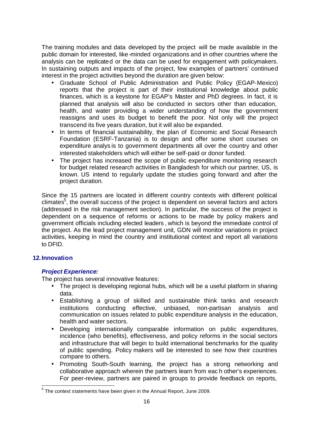The training modules and data developed by the project will be made available in the public domain for interested, like-minded organizations and in other countries where the analysis can be replicated or the data can be used for engagement with policymakers. In sustaining outputs and impacts of the project, few examples of partners' continued interest in the project activities beyond the duration are given below:

- Graduate School of Public Administration and Public Policy (EGAP-Mexico) reports that the project is part of their institutional knowledge about public finances, which is a keystone for EGAP's Master and PhD degrees. In fact, it is planned that analysis will also be conducted in sectors other than education, health, and water providing a wider understanding of how the government reassigns and uses its budget to benefit the poor. Not only will the project transcend its five years duration, but it will also be expanded.
- In terms of financial sustainability, the plan of Economic and Social Research Foundation (ESRF-Tanzania) is to design and offer some short courses on expenditure analys is to government departments all over the country and other interested stakeholders which will either be self-paid or donor funded.
- The project has increased the scope of public expenditure monitoring research for budget related research activities in Bangladesh for which our partner, US, is known. US intend to regularly update the studies going forward and after the project duration.

Since the 15 partners are located in different country contexts with different political climates<sup>5</sup>, the overall success of the project is dependent on several factors and actors (addressed in the risk management section). In particular, the success of the project is dependent on a sequence of reforms or actions to be made by policy makers and government officials including elected leaders , which is beyond the immediate control of the project. As the lead project management unit, GDN will monitor variations in project activities, keeping in mind the country and institutional context and report all variations to DFID.

# **12.Innovation**

# *Project Experience:*

The project has several innovative features:

- The project is developing regional hubs, which will be a useful platform in sharing data.
- Establishing a group of skilled and sustainable think tanks and research institutions conducting effective, unbiased, non-partisan analysis and communication on issues related to public expenditure analysis in the education, health and water sectors.
- Developing internationally comparable information on public expenditures, incidence (who benefits), effectiveness, and policy reforms in the social sectors and infrastructure that will begin to build international benchmarks for the quality of public spending. Policy makers will be interested to see how their countries compare to others.
- Promoting South-South learning, the project has a strong networking and collaborative approach wherein the partners learn from eac h other's experiences. For peer-review, partners are paired in groups to provide feedback on reports,

 5 The context statements have been given in the Annual Report, June 2009.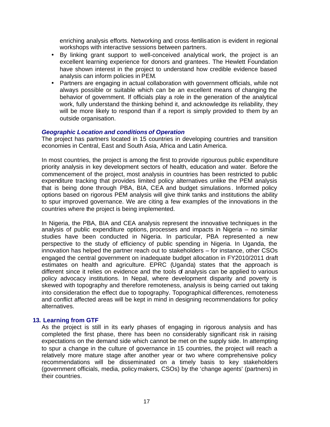enriching analysis efforts. Networking and cross -fertilisation is evident in regional workshops with interactive sessions between partners.

- By linking grant support to well-conceived analytical work, the project is an excellent learning experience for donors and grantees. The Hewlett Foundation have shown interest in the project to understand how credible evidence based analysis can inform policies in PEM.
- Partners are engaging in actual collaboration with government officials, while not always possible or suitable which can be an excellent means of changing the behavior of government. If officials play a role in the generation of the analytical work, fully understand the thinking behind it, and acknowledge its reliability, they will be more likely to respond than if a report is simply provided to them by an outside organisation.

#### *Geographic Location and conditions of Operation*

The project has partners located in 15 countries in developing countries and transition economies in Central, East and South Asia, Africa and Latin America.

In most countries, the project is among the first to provide rigourous public expenditure priority analysis in key development sectors of health, education and water. Before the commencement of the project, most analysis in countries has been restricted to public expenditure tracking that provides limited policy alternatives unlike the PEM analysis that is being done through PBA, BIA, CEA and budget simulations . Informed policy options based on rigorous PEM analysis will give think tanks and institutions the ability to spur improved governance. We are citing a few examples of the innovations in the countries where the project is being implemented.

In Nigeria, the PBA, BIA and CEA analysis represent the innovative techniques in the analysis of public expenditure options, processes and impacts in Nigeria – no similar studies have been conducted in Nigeria. In particular, PBA represented a new perspective to the study of efficiency of public spending in Nigeria. In Uganda, the innovation has helped the partner reach out to stakeholders – for instance, other CSOs engaged the central government on inadequate budget allocation in FY2010/2011 draft estimates on health and agriculture. EPRC (Uganda) states that the approach is different since it relies on evidence and the tools of analysis can be applied to various policy advocacy institutions. In Nepal, where development disparity and poverty is skewed with topography and therefore remoteness, analysis is being carried out taking into consideration the effect due to topography. Topographical differences, remoteness and conflict affected areas will be kept in mind in designing recommendations for policy alternatives.

#### **13. Learning from GTF**

As the project is still in its early phases of engaging in rigorous analysis and has completed the first phase, there has been no considerably significant risk in raising expectations on the demand side which cannot be met on the supply side. In attempting to spur a change in the culture of governance in 15 countries, the project will reach a relatively more mature stage after another year or two where comprehensive policy recommendations will be disseminated on a timely basis to key stakeholders (government officials, media, policymakers, CSOs) by the 'change agents' (partners) in their countries.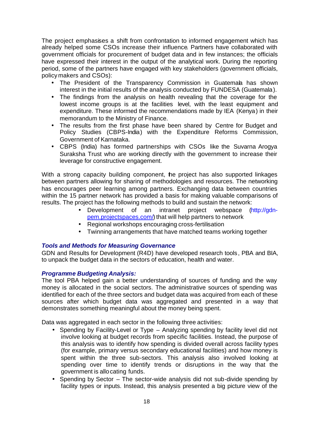The project emphasises a shift from confrontation to informed engagement which has already helped some CSOs increase their influence. Partners have collaborated with government officials for procurement of budget data and in few instances; the officials have expressed their interest in the output of the analytical work. During the reporting period, some of the partners have engaged with key stakeholders (government officials, policy makers and CSOs):

- The President of the Transparency Commission in Guatemala has shown interest in the initial results of the analysis conducted by FUNDESA (Guatemala).
- The findings from the analysis on health revealing that the coverage for the lowest income groups is at the facilities level, with the least equipment and expenditure. These informed the recommendations made by IEA (Kenya) in their memorandum to the Ministry of Finance.
- The results from the first phase have been shared by Centre for Budget and Policy Studies (CBPS-India) with the Expenditure Reforms Commission, Government of Karnataka.
- CBPS (India) has formed partnerships with CSOs like the Suvarna Arogya Suraksha Trust who are working directly with the government to increase their leverage for constructive engagement.

With a strong capacity building component, he project has also supported linkages between partners allowing for sharing of methodologies and resources. The networking has encourages peer learning among partners. Exchanging data between countries within the 15 partner network has provided a basis for making valuable comparisons of results. The project has the following methods to build and sustain the network:

- Development of an intranet project webspace (http://gdnpem.projectspaces.com/) that will help partners to network
- Regional workshops encouraging cross-fertilisation
- Twinning arrangements that have matched teams working together

## *Tools and Methods for Measuring Governance*

GDN and Results for Development (R4D) have developed research tools, PBA and BIA, to unpack the budget data in the sectors of education, health and water.

## *Programme Budgeting Analysis:*

The tool PBA helped gain a better understanding of sources of funding and the way money is allocated in the social sectors. The administrative sources of spending was identified for each of the three sectors and budget data was acquired from each of these sources after which budget data was aggregated and presented in a way that demonstrates something meaningful about the money being spent.

Data was aggregated in each sector in the following three activities:

- Spending by Facility-Level or Type Analyzing spending by facility level did not involve looking at budget records from specific facilities. Instead, the purpose of this analysis was to identify how spending is divided overall across facility types (for example, primary versus secondary educational facilities) and how money is spent within the three sub-sectors. This analysis also involved looking at spending over time to identify trends or disruptions in the way that the government is allocating funds.
- Spending by Sector The sector-wide analysis did not sub-divide spending by facility types or inputs. Instead, this analysis presented a big picture view of the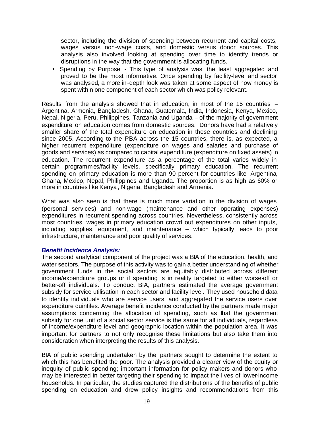sector, including the division of spending between recurrent and capital costs, wages versus non-wage costs, and domestic versus donor sources. This analysis also involved looking at spending over time to identify trends or disruptions in the way that the government is allocating funds.

• Spending by Purpose - This type of analysis was the least aggregated and proved to be the most informative. Once spending by facility-level and sector was analysed, a more in-depth look was taken at some aspect of how money is spent within one component of each sector which was policy relevant.

Results from the analysis showed that in education, in most of the 15 countries  $-$ Argentina, Armenia, Bangladesh, Ghana, Guatemala, India, Indonesia, Kenya, Mexico, Nepal, Nigeria, Peru, Philippines, Tanzania and Uganda – of the majority of government expenditure on education comes from domestic sources. Donors have had a relatively smaller share of the total expenditure on education in these countries and declining since 2005. According to the PBA across the 15 countries, there is, as expected, a higher recurrent expenditure (expenditure on wages and salaries and purchase of goods and services) as compared to capital expenditure (expenditure on fixed assets) in education. The recurrent expenditure as a percentage of the total varies widely in certain programmes/facility levels, specifically primary education. The recurrent spending on primary education is more than 90 percent for countries like Argentina, Ghana, Mexico, Nepal, Philippines and Uganda. The proportion is as high as 60% or more in countries like Kenya, Nigeria, Bangladesh and Armenia.

What was also seen is that there is much more variation in the division of wages (personal services) and non-wage (maintenance and other operating expenses) expenditures in recurrent spending across countries. Nevertheless, consistently across most countries, wages in primary education crowd out expenditures on other inputs, including supplies, equipment, and maintenance – which typically leads to poor infrastructure, maintenance and poor quality of services.

#### *Benefit Incidence Analysis:*

The second analytical component of the project was a BIA of the education, health, and water sectors. The purpose of this activity was to gain a better understanding of whether government funds in the social sectors are equitably distributed across different income/expenditure groups or if spending is in reality targeted to either worse-off or better-off individuals. To conduct BIA, partners estimated the average government subsidy for service utilisation in each sector and facility level. They used household data to identify individuals who are service users, and aggregated the service users over expenditure quintiles. Average benefit incidence conducted by the partners made major assumptions concerning the allocation of spending, such as that the government subsidy for one unit of a social sector service is the same for all individuals, regardless of income/expenditure level and geographic location within the population area. It was important for partners to not only recognise these limitations but also take them into consideration when interpreting the results of this analysis.

BIA of public spending undertaken by the partners sought to determine the extent to which this has benefited the poor. The analysis provided a clearer view of the equity or inequity of public spending; important information for policy makers and donors who may be interested in better targeting their spending to impact the lives of lower-income households. In particular, the studies captured the distributions of the benefits of public spending on education and drew policy insights and recommendations from this